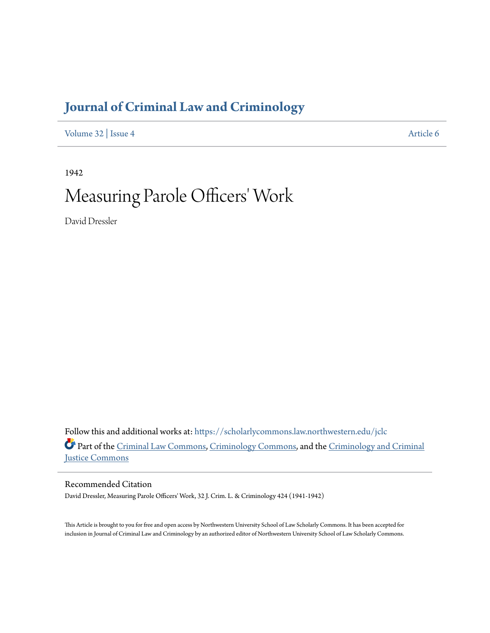# **[Journal of Criminal Law and Criminology](https://scholarlycommons.law.northwestern.edu/jclc?utm_source=scholarlycommons.law.northwestern.edu%2Fjclc%2Fvol32%2Fiss4%2F6&utm_medium=PDF&utm_campaign=PDFCoverPages)**

[Volume 32](https://scholarlycommons.law.northwestern.edu/jclc/vol32?utm_source=scholarlycommons.law.northwestern.edu%2Fjclc%2Fvol32%2Fiss4%2F6&utm_medium=PDF&utm_campaign=PDFCoverPages) | [Issue 4](https://scholarlycommons.law.northwestern.edu/jclc/vol32/iss4?utm_source=scholarlycommons.law.northwestern.edu%2Fjclc%2Fvol32%2Fiss4%2F6&utm_medium=PDF&utm_campaign=PDFCoverPages) [Article 6](https://scholarlycommons.law.northwestern.edu/jclc/vol32/iss4/6?utm_source=scholarlycommons.law.northwestern.edu%2Fjclc%2Fvol32%2Fiss4%2F6&utm_medium=PDF&utm_campaign=PDFCoverPages)

1942

# Measuring Parole Officers' Work

David Dressler

Follow this and additional works at: [https://scholarlycommons.law.northwestern.edu/jclc](https://scholarlycommons.law.northwestern.edu/jclc?utm_source=scholarlycommons.law.northwestern.edu%2Fjclc%2Fvol32%2Fiss4%2F6&utm_medium=PDF&utm_campaign=PDFCoverPages) Part of the [Criminal Law Commons](http://network.bepress.com/hgg/discipline/912?utm_source=scholarlycommons.law.northwestern.edu%2Fjclc%2Fvol32%2Fiss4%2F6&utm_medium=PDF&utm_campaign=PDFCoverPages), [Criminology Commons](http://network.bepress.com/hgg/discipline/417?utm_source=scholarlycommons.law.northwestern.edu%2Fjclc%2Fvol32%2Fiss4%2F6&utm_medium=PDF&utm_campaign=PDFCoverPages), and the [Criminology and Criminal](http://network.bepress.com/hgg/discipline/367?utm_source=scholarlycommons.law.northwestern.edu%2Fjclc%2Fvol32%2Fiss4%2F6&utm_medium=PDF&utm_campaign=PDFCoverPages) [Justice Commons](http://network.bepress.com/hgg/discipline/367?utm_source=scholarlycommons.law.northwestern.edu%2Fjclc%2Fvol32%2Fiss4%2F6&utm_medium=PDF&utm_campaign=PDFCoverPages)

Recommended Citation

David Dressler, Measuring Parole Officers' Work, 32 J. Crim. L. & Criminology 424 (1941-1942)

This Article is brought to you for free and open access by Northwestern University School of Law Scholarly Commons. It has been accepted for inclusion in Journal of Criminal Law and Criminology by an authorized editor of Northwestern University School of Law Scholarly Commons.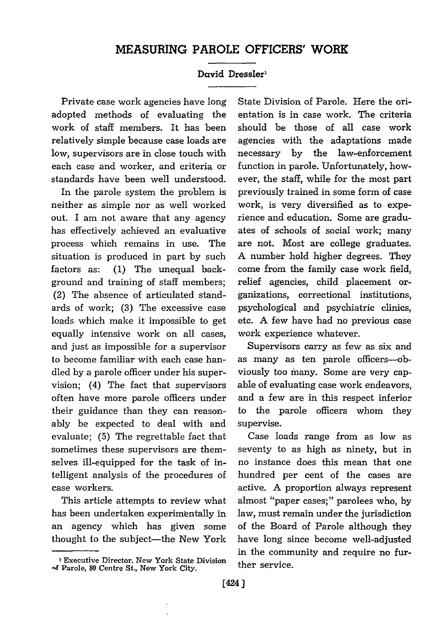## **MEASURING** PAROLE OFFICERS' WORK

#### David Dressler<sup>1</sup>

Private case work agencies have long adopted methods of evaluating the work of staff members. It has been relatively simple because case loads are low, supervisors are in close touch with each case and worker, and criteria or standards have been well understood.

In the parole system the problem is neither as simple nor as well worked out. I am not aware that any agency has effectively achieved an evaluative process which remains in use. The situation is produced in part by such factors as: (1) The unequal background and training of staff members; (2) The absence of articulated standards of work; (3) The excessive case loads which make it impossible to get equally intensive work on all cases, and just as impossible for a supervisor to become familiar with each case handled by a parole officer under his supervision; (4) The fact that supervisors often have more parole officers under their guidance than they can reasonably be expected to deal with and evaluate; (5) The regrettable fact that sometimes these supervisors are themselves ill-equipped for the task of intelligent analysis of the procedures of case workers.

This article attempts to review what has been undertaken experimentally in an agency which has given some thought to the subject-the New York

State Division of Parole. Here the orientation is in case work. The criteria should be those of all case work agencies with the adaptations made necessary by the law-enforcement function in parole. Unfortunately, however, the staff, while for the most part previously trained in some form of case work, is very diversified as to experience and education. Some are graduates of schools of social work; many are not. Most are college graduates. **A** number hold higher degrees. They come from the family case work field, relief agencies, child placement organizations, correctional institutions, psychological and psychiatric clinics, etc. **A** few have had no previous case work experience whatever.

Supervisors carry as few as six and as many as ten parole officers---obviously too many. Some are very capable of evaluating case work endeavors, and a few are in this respect inferior to the parole officers whom they supervise.

Case loads range from as low as seventy to as high as ninety, but in no instance does this mean that one hundred per cent of the cases are active. **A** proportion always represent almost "paper cases;" parolees who, by law, must remain under the jurisdiction of the Board of Parole although they have long since become well-adjusted in the community and require no further service.

**<sup>1</sup>** Executive Director, **New** York State **Division -f** Parole, **80 Centre St., New York City.**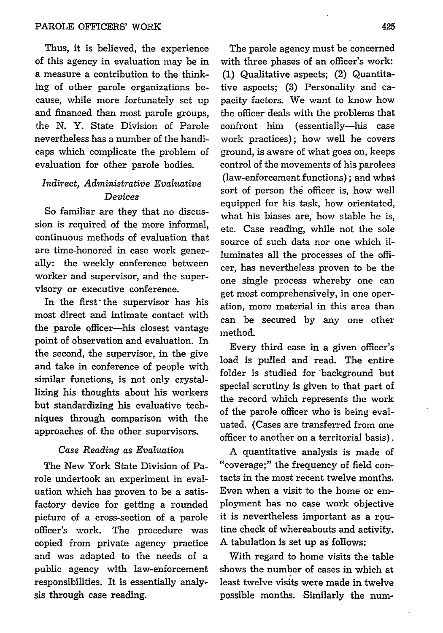Thus, it is believed, the experience of this agency in evaluation may be in a measure a contribution to the thinking of other parole organizations because, while more fortunately set up and financed than most parole groups, the N. Y. State Division of Parole nevertheless has a number of the handicaps which complicate the problem of evaluation for other parole bodies.

### *Indirect, Administrative Evaluative Devices*

So familiar are they that no discussion is required of the more informal, continuous methods of evaluation that are time-honored in case work generally: the weekly conference between worker and supervisor, and the supervisory or executive conference.

In the first the supervisor has his most direct and intimate contact with the parole officer-his closest vantage point of observation and evaluation. In the second, the supervisor, in the give and take in conference of people with similar functions, is not only crystallizing his thoughts about his workers but standardizing his evaluative techniques through comparison with the approaches of. the other supervisors.

#### *Case Reading as Evaluation*

The New York State Division of Parole undertook an experiment in evaluation which has proven to be a satisfactory device for getting a rounded picture of a cross-section of a parole officer's work. The procedure was copied from private agency practice and was adapted to the needs of a public agency with law-enforcement responsibilities. It is essentially analysis through case reading.

The parole agency must be concerned with three phases of an officer's work: (1) Qualitative aspects; (2) Quantitative aspects; (3) Personality and capacity factors. We want to know how the officer deals with the problems that confront him (essentially-his case work practices); how well he covers ground, is aware of what goes on, keeps control of the movements of his parolees (law-enforcement functions); and what sort of person the officer is, how well equipped for his task, how orientated, what his biases are, how stable he is, etc. Case reading, while not the sole source of such data nor one which illuminates all the processes of the offi-

cer, has nevertheless proven to be the one single process whereby one can get most comprehensively, in one operation, more material in this area than can be secured by any one other method.

Every third case in a given officer's load is pulled and read. The entire folder is studied for background but special scrutiny is given to that part of the record which represents the work of the parole officer who is being evaluated. (Cases are transferred from one officer to another on a territorial basis).

A quantitative analysis is made of "coverage;" the frequency of field contacts in the most recent twelve months. Even when a visit to the home or employment has no case work objective it is nevertheless important as a routine check of whereabouts and activity. A tabulation is set up as follows:

With regard to home visits the table shows the number of cases in which at least twelve visits were made in twelve possible months. Similarly the num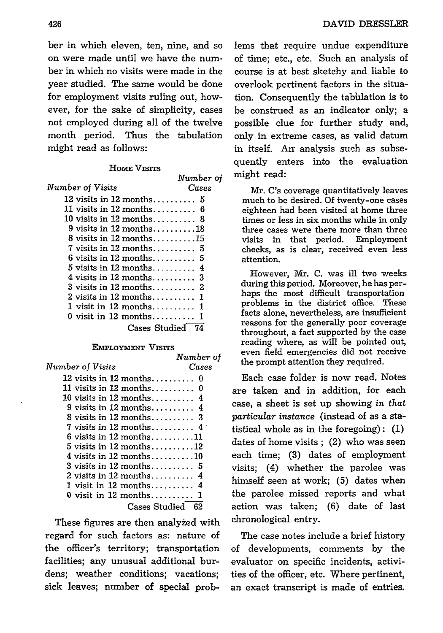ber in which eleven, ten, nine, and so on were made until we have the number in which no visits were made in the year studied. The same would be done for employment visits ruling out, however, for the sake of simplicity, cases not employed during all of the twelve month period. Thus the tabulation might read as follows:

#### **HOME** VisITs

| Number of Visits                                                   | Number of<br>Cases |
|--------------------------------------------------------------------|--------------------|
|                                                                    |                    |
|                                                                    |                    |
|                                                                    |                    |
|                                                                    |                    |
| $9 \text{ visits in } 12 \text{ months} \dots \dots 18$            |                    |
| $8 \text{ visits in } 12 \text{ months} \dots \dots 15$            |                    |
| $7 \text{ visits in } 12 \text{ months} \dots \dots \dots \quad 5$ |                    |
|                                                                    |                    |
|                                                                    |                    |
| $4 \text{ visits in } 12 \text{ months} \dots \dots \dots 3$       |                    |
| $3 \text{ visits in } 12 \text{ months} \dots \dots 2$             |                    |
|                                                                    |                    |
|                                                                    |                    |
|                                                                    |                    |
| Cases Studied                                                      |                    |

#### **EMPLOYMENT VISITS**

|                                                                    | Number o: |
|--------------------------------------------------------------------|-----------|
| Number of Visits                                                   | Cases     |
| 12 visits in 12 months                                             |           |
|                                                                    |           |
|                                                                    |           |
|                                                                    |           |
| $8 \text{ visits in } 12 \text{ months} \dots \dots 3$             |           |
|                                                                    |           |
| $6$ visits in 12 months11                                          |           |
| $5$ visits in 12 months12                                          |           |
| 4 visits in 12 months10                                            |           |
| $3 \text{ visits in } 12 \text{ months} \dots \dots \dots \quad 5$ |           |
|                                                                    |           |
|                                                                    |           |
|                                                                    |           |
| Cases Studied                                                      |           |

These figures are then analyzed with regard for such factors as: nature of the officer's territory; transportation facilities; any unusual additional burdens; weather conditions; vacations; sick leaves; number of special problems that require undue expenditure of time; etc., etc. Such an analysis of course is at best sketchy and liable to overlook pertinent factors in the situation. Consequently the tabulation is to be construed as an indicator only; a possible clue for further study and, only in extreme cases, as valid datum in itself. An analysis such as subsequently enters into the evaluation might read:

Mr. C's coverage quantitatively leaves much to be desired. Of twenty-one cases eighteen had been visited at home three times or less in six months while in only three cases were there more than three visits in that period. Employment checks, as is clear, received even less attention.

However, Mr. C. was ill two weeks during this period. Moreover, he has perhaps the most difficult transportation problems in the district office. These facts alone, nevertheless, are insufficient reasons for the generally poor coverage throughout, a fact supported by the case reading where, as will be pointed out, even field emergencies did not receive the prompt attention they required.

Each case folder is now read. Notes are taken and in addition, for each case, a sheet is set up showing *in that particular instance* (instead of as a statistical whole as in the foregoing): (1) dates of home visits ; (2) who was seen each time; (3) dates of employment visits; (4) whether the parolee was himself seen at work; (5) dates when the parolee missed reports and what action was taken; (6) date of last chronological entry.

The case notes include a brief history of developments, comments by the evaluator on specific incidents, activities of the officer, etc. Where pertinent, an exact transcript is made of entries.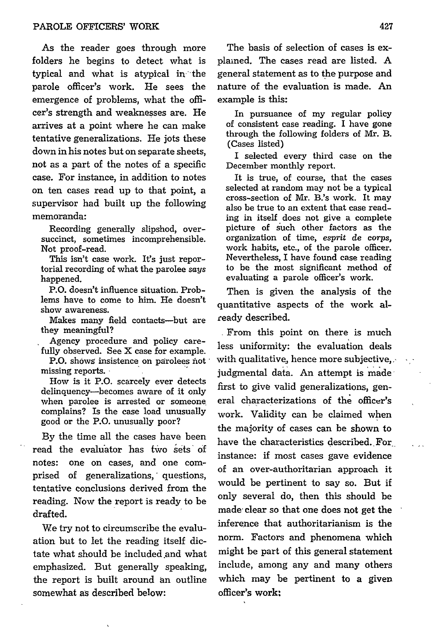As the reader goes through more folders he begins to detect what is typical and What is atypical in the parole officer's work. He sees the emergence of problems, what the officer's strength and weaknesses are. He arrives at a point where he can make tentative generalizations. He jots these down in his notes but on separate sheets, not as a part of the notes of a specific case. For instance, in addition to notes on ten cases read up to that point, a supervisor had built up the following memoranda:

Recording generally slipshod, oversuccinct, sometimes incomprehensible. Not proof-read.

This isn't case work. It's just reportorial recording of what the parolee *says* happened.

P.O. doesn't influence situation. Problems have to come to him. He doesn't show awareness.

Makes many field contacts-but are they meaningful?

Agency procedure and policy carefully observed. See X case for example.

P.O. shows insistence on parolees **fot** missing reports.

How is it P.O. scarcely ever detects delinquency-becomes aware of it only when parolee is arrested or someone complains? Is the case load unusually good or the P.O. unusually poor?

By the time all the cases have been read the evaluator has two sets' of notes: one on cases, and one comprised of generalizations,' questions, tentative conclusions derived from the reading. Now the report is ready to be drafted.

We try not to circumscribe the evaluation but to let the reading itself dictate what should be included and what emphasized. But generally speaking, the report is built around an outline somewhat as described below:

The basis of selection of cases is explained. The cases read are listed. A general statement as to the purpose and nature of the evaluation is made. An example is this:

In pursuance of my regular policy of consistent case reading. I have gone through the following folders of Mr. B. (Cases listed)

I selected every third case on the December monthly report.

It is true, of course, that the cases selected at random may not be a typical cross-section of Mr. B.'s work. It may also be true to an extent that case reading in itself does not give a complete picture of such other factors as the organization of time, esprit de corps, work habits, etc., of the parole officer. Nevertheless, I have found case reading to be the most significant method of evaluating a parole officer's work.

Then is given the analysis of the quantitative aspects of the work already described.

From this point on there is much less uniformity: the evaluation deals with qualitative, hence more subjective, judgmental data. An attempt is made first to give valid generalizations, general characterizations of the officer's work. Validity can be claimed when the majority of cases can be shown to have the characteristics described. For instance: if most cases gave evidence of an over-authoritarian approach it would be pertinent to say so. But if only several do, then this should be made clear so that one does not get the inference that authoritarianism is the norm. Factors and phenomena which might be part of this general statement include, among any and many others which may be pertinent to a given officer's work: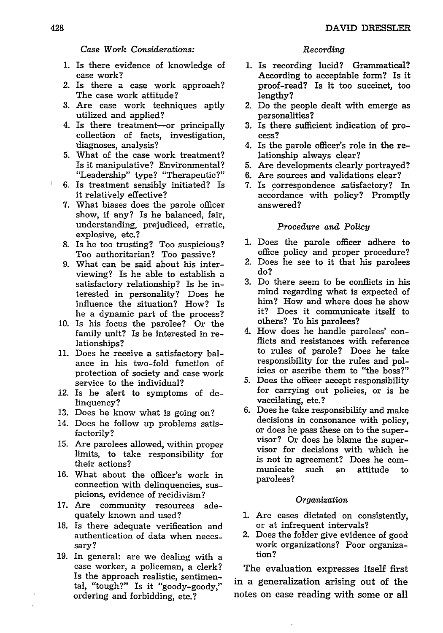- 1. Is there evidence of knowledge of case work?
- 2. Is there a case work approach? The case work attitude?
- 3. Are case work techniques aptly utilized and applied?
- 4. Is there treatment--or principally collection of facts, investigation, tiagnoses, analysis?
- 5. What of the case work treatment? Is it manipulative? Environmental? "Leadership" type? "Therapeutic?"
- 6. Is treatment sensibly initiated? Is it relatively effective?
- 7. What biases does the parole officer show, if any? Is he balanced, fair, understanding, prejudiced, erratic, explosive, etc.?
- 8. Is he too trusting? Too suspicious? Too authoritarian? Too passive?
- 9. What can be said about his interviewing? Is he able to establish a satisfactory relationship? Is he interested in personality? Does he influence the situation? How? Is he a dynamic part of the process?
- 10. Is his focus the parolee? Or the family unit? Is he interested in relationships?
- 11. Does he receive a satisfactory balance in his two-fold function of protection of society and case work service to the individual?
- 12. Is he alert to symptoms of delinquency?
- 13. Does he know what is going on?
- 14. Does he follow up problems satisfactorily?
- 15. Are parolees allowed, within proper limits, to take responsibility for their actions?
- 16. What about the officer's work in connection with delinquencies, suspicions, evidence of recidivism?
- 17. Are community resources adequately known and used?
- 18. Is there adequate verification and authentication of data when necessary?
- 19. In general: are we dealing with a case worker, a policeman, a clerk? Is the approach realistic, sentimental, "tough?" Is it "goody-goody," ordering and forbidding, etc.?

#### Recording

- 1. Is recording lucid? Grammatical? According to acceptable form? Is it proof-read? Is it too succinct, too lengthy?
- 2. Do the people dealt with emerge as personalities?
- 3. Is there sufficient indication of process?
- 4. Is the parole officer's role in the relationship always clear?
- 5. Are developments clearly portrayed?
- 6. Are sources and validations clear?
- 7. Is correspondence satisfactory? In accordance with policy? Promptly answered?

#### *Procedure and Policy*

- 1. Does the parole officer adhere to office policy and proper procedure?
- 2. Does he see to it that his parolees do?
- 3. Do there seem to be conflicts in his mind regarding what is expected of him? How and where does he show it? Does it communicate itself to others? To his parolees?
- 4. How does he handle parolees' conflicts and resistances with reference to rules of parole? Does he take responsibility for the rules and policies or ascribe them to "the boss?"
- 5. Does the officer accept responsibility for carrying out policies, or is he vaccilating, etc.?
- 6. Does he take responsibility and make decisions in consonance with policy, or does he pass these on to the supervisor? Or does he blame the supervisor for decisions with which he is not in agreement? Does he communicate such an attitude to parolees?

#### *Organization*

- 1. Are cases dictated on consistently, or at infrequent intervals?
- 2. Does the folder give evidence of good work organizations? Poor organization?

The evaluation expresses itself first in a generalization arising out of the notes on case reading with some or all

 $\parallel$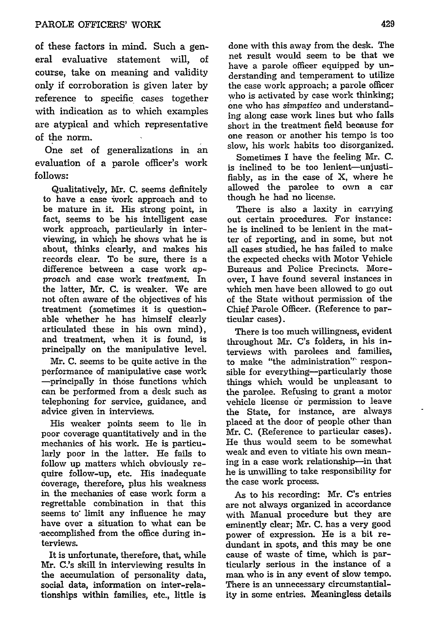of these factors in mind. Such a general evaluative statement will, of course, take on meaning and validity only if corroboration is given later by reference to specific cases together with indication as to which examples are atypical and which representative of the norm.

One set of generalizations in an evaluation of a parole officer's work follows:

Qualitatively, Mr. C. seems definitely to have a case work approach and to be mature in it. His strong point, in fact, seems to be his intelligent case work approach, particularly in interviewing, in which he shows what he is about, thinks clearly, and makes his records clear. To be sure, there is a difference between a case work approach and case work *treatment.* In the latter, Mr. C. is weaker. We are not often aware of the objectives of his treatment (sometimes it is questionable whether he has himself clearly articulated these in his own mind), and treatment, when it is found, is principally on the manipulative level.

Mr. C. seems to be quite active in the performance of manipulative case work -principally in those functions which can be performed from a desk such as telephoning for service, guidance, and advice given in interviews.

His weaker points seem to lie in poor coverage quantitatively and in the mechanics of his work. He is particularly poor in the latter. He fails to follow up matters which obviously require follow-up, etc. His inadequate coverage, therefore, plus his weakness in the mechanics of case work form a regrettable combination in that this seems to limit any influence he may have over a situation to what can be -accomplished from the office during interviews.

It is unfortunate, therefore, that, while Mr. C.'s skill in interviewing results in the accumulation of personality data, social data, information on inter-relationships within families, etc., little is

done with this away from the desk. The net result would seem to be that we have a parole officer equipped by understanding and temperament to utilize the case work approach; a parole officer who is activated by case work thinking; one who has simpatico and understanding along case work lines but who falls short in the treatment field because for one reason or another his tempo is too slow, his work habits too disorganized.

Sometimes I have the feeling Mr. C. is inclined to be too lenient-unjustifiably, as in the case of X, where he allowed the parolee to own a car though he had no license.

There is also a laxity in carrying out certain procedures. For instance: he is inclined to be lenient in the matter of reporting, and in some, but not all cases studied, he has failed to make the expected checks with Motor Vehicle Bureaus and Police Precincts. Moreover, I have found several instances in which men have been allowed to go out of the State without permission of the Chief Parole Officer. (Reference to particular cases).

There is too much willingness, evident throughout Mr. C's folders, in his interviews with parolees and families, to make "the administration"' responsible for everything-particularly those things which would be unpleasant to the parolee. Refusing to grant a motor vehicle license or permission to leave the State, for instance, are always placed at the door of people other than Mr. C. (Reference to particular cases). He thus would seem to be somewhat weak and even to vitiate his own meaning in a case work relationship-in that he is unwilling to take responsibility for the case work process.

As to his recording: Mr. C's entries are not always organized in accordance with Manual procedure but they are eminently clear; Mr. **C.** has a very good power of expression. He is a bit redundant in spots, and this may be one cause of waste of time, which is particularly serious in the instance of a man who is in any event of slow tempo. There is an unnecessary circumstantiality in some entries. Meaningless details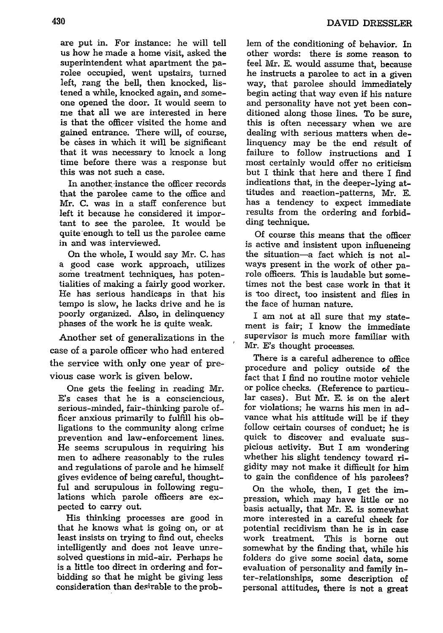are put in. For instance: he will tell us how he made a home visit, asked the superintendent what apartment the parolee occupied, went upstairs, turned left, rang the bell, then knocked, listened a while, knocked again, and someone opened the door. It would seem to me that all we are interested in here is that the officer visited the home and gained entrance. There will, of course, be cases in which it will be significant that it was necessary to knock a long time before there was a response but this was not such a case.

In another, instance the officer records that the parolee came to the office and Mr. C. was in a staff conference but left it because he considered it important to see the parolee. It would be quite enough to tell us the parolee came in and was interviewed.

On the whole, I would say Mr. C. has a good case work approach, utilizes some treatment techniques, has potentialities of making a fairly good worker. He has serious handicaps in that his tempo is slow, he lacks drive and he is poorly organized. Also, in delinquency phases of the work he is quite weak.

Another set of generalizations in the case of a parole officer who had entered the service with only one year of previous case work is given below.

One gets the feeling in reading Mr. E's cases that he is a consciencious, serious-minded, fair-thinking parole officer anxious primarily to fulfill his obligations to the community along crime prevention and law-enforcement lines. He seems scrupulous in requiring his men to adhere reasonably to the rules and regulations of parole and he himself gives evidence of being careful, thoughtful and scrupulous in following regulations which parole officers are expected to carry out.

His thinking processes are good in that he knows what is going on, or at least insists on trying to find out, checks intelligently and does not leave unresolved questions in mid-air. Perhaps he is a little too direct in ordering and forbidding so that he might be giving less consideration than desirable to the prob-

lem of the conditioning of behavior. In other words: there is some reason to feel Mr. E. would assume that, because he instructs a parolee to act in a given way, that parolee should immediately begin acting that way even if his nature and personality have not yet been conditioned along those lines. To be sure, this is often necessary when we are dealing with serious matters when delinquency may be the end result of failure to follow instructions and I most certainly would offer no criticism but I think that here and there I find indications that, in the deeper-lying attitudes and reaction-patterns, Mr. **E.** has a tendency to expect immediate results from the ordering and forbidding technique.

Of course this means that the officer is active and insistent upon influencing the situation-a fact which is not always present in the work of other parole officers. This is laudable but sometimes not the best case work in that it is too direct, too insistent and flies in the face of human nature.

I am not at all sure that my statement is fair; I know the immediate supervisor is much more familiar with Mr. E's thought processes.

There is a careful adherence to office procedure and policy outside **cf** the fact that I find no routine motor vehicle or police checks. (Reference to particular cases). But Mr. **E.** is on the alert for violations; he warns his men in advance what his attitude will be if they follow certain courses of conduct; he is quick to discover and evaluate suspicious activity. But I am wondering whether his slight tendency toward rigidity may not make it difficult for him to gain the confidence of his parolees?

On the whole, then, I get the impression, which may have little or no basis actually, that Mr. E. is somewhat more interested in a careful check for potential recidivism than he is in case work treatment. This is borne out somewhat by the finding that, while his folders do give some social data, some evaluation of personality and family inter-relationships, some description of personal attitudes, there is not a great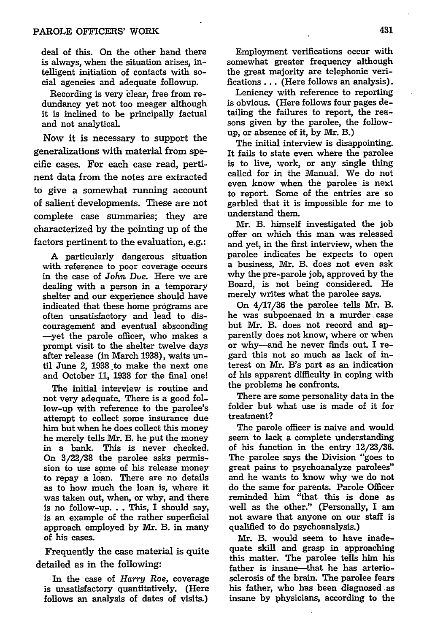deal of this. On the other hand there is always, when the situation arises, intelligent initiation of contacts with social agencies and adequate followup.

Recording is very clear, free from redundancy yet not too meager although it is inclined to be principally factual and not analytical.

Now it is necessary to support the generalizations with material from specific cases. For each case read, pertinent data from the notes are extracted to give a somewhat running account of salient developments. These are not complete case summaries; they are characterized **by** the pointing up of the factors pertinent to the evaluation, e.g.:

A particularly dangerous situation with reference to poor coverage occurs in the case of John Due. Here we are dealing with a person in a temporary shelter and our experience should have indicated that these home programs are often unsatisfactory and lead to discouragement and eventual absconding -yet the parole officer, who makes a prompt visit to the shelter twelve days after release (in March **1938),** waits until June 2, 1938 to make the next one and October **11, 1938** for the final one!

The initial interview is routine and not very adequate. There is a good follow-up with reference to the parolee's attempt to collect some insurance due him but when he does collect this money he merely tells **Mr.** B. he put the money in a bank. This is never checked. On **3/22/38** the parolee asks permission to use some of his release money to repay a loan. There are no details as to how much the loan is, where it was taken out, when, or why, and there is no follow-up... This, I should say, is an example of the rather superficial approach employed **by** Mr. B. in many of his cases.

Frequently the case material is quite detailed as in the following:

In the case of *Harry Roe,* coverage is unsatisfactory quantitatively. (Here follows an analysis of dates **of** visits.)

Employment verifications occur with somewhat greater frequency although the great majority are telephonic verifications... (Here follows an analysis).

Leniency with reference to reporting is obvious. (Here follows four pages detailing the failures to report, the reasons given **by** the parolee, the followup, or absence of it, **by** Mr. B.)

The initial interview is disappointing. It fails to state even where the parolee is to live, work, or any single thing called for in the Manual. We do not even know when the parolee is next to report. Some of the entries are so garbled that it is impossible for me to understand them.

Mr. B. himself investigated the **job** offer on which this man was released and yet, in the first interview, when the parolee indicates he expects to open a business, Mr. B. does not even ask why the pre-parole **job,** approved **by** the Board, is not being considered. He merely writes what the parolee says.

On **4/17/36** the parolee tells Mr. B. he was subpoenaed in a murder case but Mr. B. does not record and apparently does not know, where or when or why-and he never finds out. I regard this not so much as lack of interest on Mr. B's part as an indication of his apparent difficulty in coping with the problems he confronts.

There are some personality data in the folder but what use is made of it for treatment?

The parole officer is naive and would seem to lack a complete understanding of his function in the entry **12/23/36.** The parolee says the Division "goes to great pains to psychoanalyze parolees" and he wants to know why we do not do the same for parents. Parole Officer reminded him "that this is done as well as the other." (Personally, I am not aware that anyone on our staff is qualified to do psychoanalysis.)

Mr. B. would seem to have inadequate skill and grasp in approaching this matter. The parolee tells him his father is insane-that he has arteriosclerosis of the brain. The parolee fears his father, who has been diagnosed as insane **by** physicians, according to the